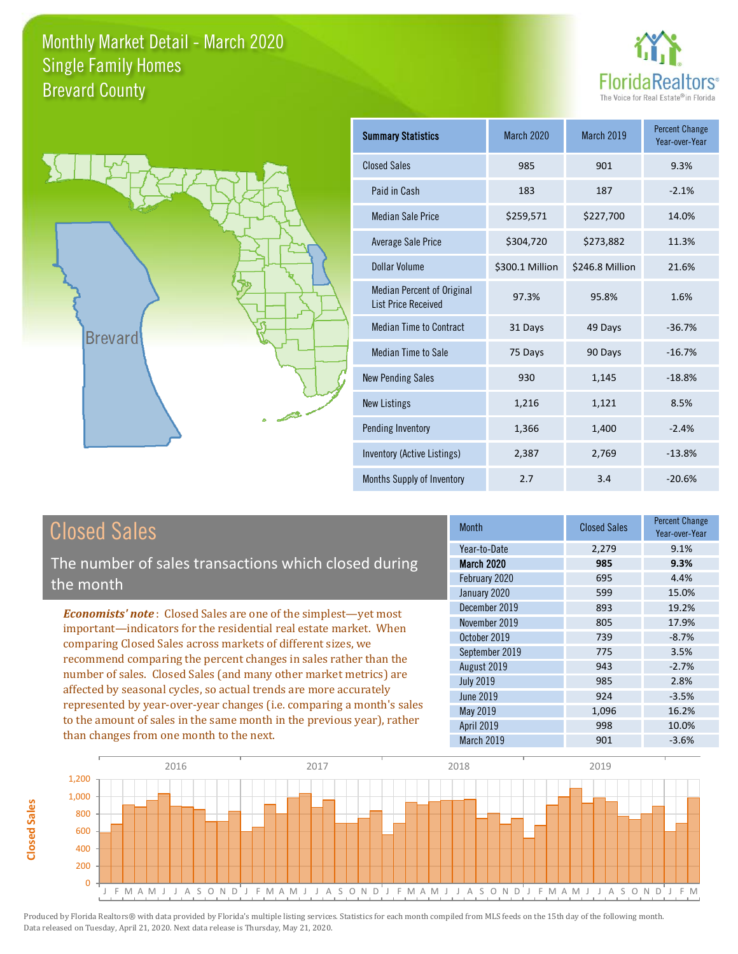



| <b>Summary Statistics</b>                                       | <b>March 2020</b> | March 2019      | <b>Percent Change</b><br>Year-over-Year |
|-----------------------------------------------------------------|-------------------|-----------------|-----------------------------------------|
| <b>Closed Sales</b>                                             | 985               | 901             | 9.3%                                    |
| Paid in Cash                                                    | 183               | 187             | $-2.1%$                                 |
| <b>Median Sale Price</b>                                        | \$259,571         | \$227,700       | 14.0%                                   |
| <b>Average Sale Price</b>                                       | \$304,720         | \$273,882       | 11.3%                                   |
| Dollar Volume                                                   | \$300.1 Million   | \$246.8 Million | 21.6%                                   |
| <b>Median Percent of Original</b><br><b>List Price Received</b> | 97.3%             | 95.8%           | 1.6%                                    |
| <b>Median Time to Contract</b>                                  | 31 Days           | 49 Days         | $-36.7%$                                |
| <b>Median Time to Sale</b>                                      | 75 Days           | 90 Days         | $-16.7%$                                |
| <b>New Pending Sales</b>                                        | 930               | 1,145           | $-18.8%$                                |
| <b>New Listings</b>                                             | 1,216             | 1,121           | 8.5%                                    |
| <b>Pending Inventory</b>                                        | 1,366             | 1,400           | $-2.4%$                                 |
| Inventory (Active Listings)                                     | 2,387             | 2,769           | $-13.8%$                                |
| Months Supply of Inventory                                      | 2.7               | 3.4             | $-20.6%$                                |

The number of sales transactions which closed during the month

*Economists' note* : Closed Sales are one of the simplest—yet most important—indicators for the residential real estate market. When comparing Closed Sales across markets of different sizes, we recommend comparing the percent changes in sales rather than the number of sales. Closed Sales (and many other market metrics) are affected by seasonal cycles, so actual trends are more accurately represented by year-over-year changes (i.e. comparing a month's sales to the amount of sales in the same month in the previous year), rather than changes from one month to the next.

| Month             | <b>Closed Sales</b> | <b>Percent Change</b><br>Year-over-Year |
|-------------------|---------------------|-----------------------------------------|
| Year-to-Date      | 2,279               | 9.1%                                    |
| <b>March 2020</b> | 985                 | 9.3%                                    |
| February 2020     | 695                 | 4.4%                                    |
| January 2020      | 599                 | 15.0%                                   |
| December 2019     | 893                 | 19.2%                                   |
| November 2019     | 805                 | 17.9%                                   |
| October 2019      | 739                 | $-8.7%$                                 |
| September 2019    | 775                 | 3.5%                                    |
| August 2019       | 943                 | $-2.7%$                                 |
| <b>July 2019</b>  | 985                 | 2.8%                                    |
| <b>June 2019</b>  | 924                 | $-3.5%$                                 |
| May 2019          | 1,096               | 16.2%                                   |
| April 2019        | 998                 | 10.0%                                   |
| March 2019        | 901                 | $-3.6%$                                 |

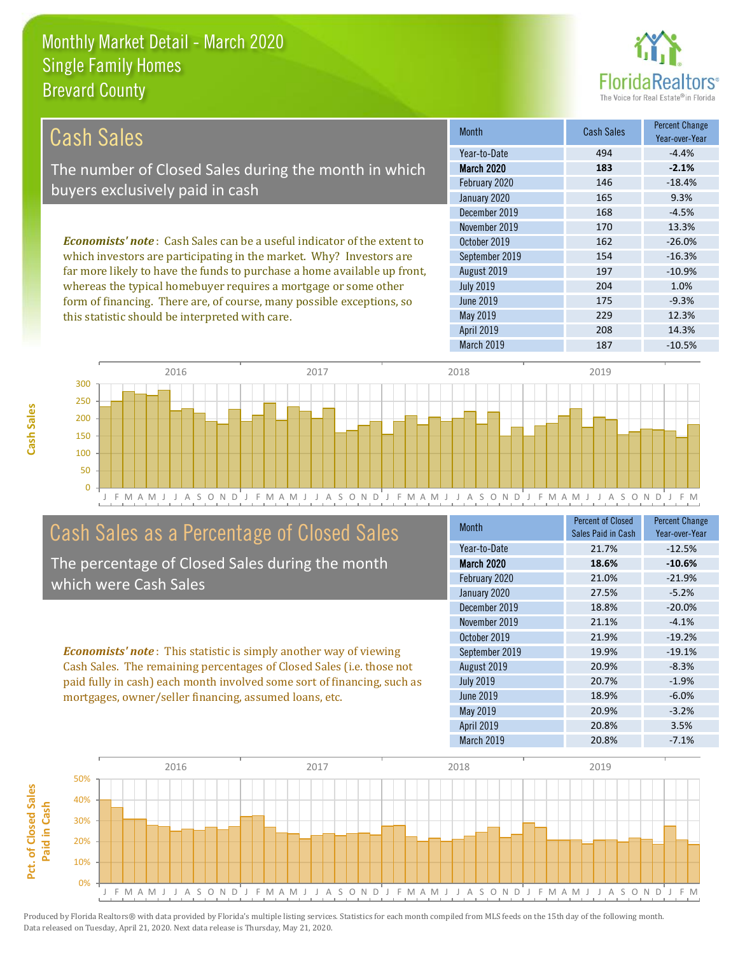this statistic should be interpreted with care.



229 12.3%

| Cash Sales                                                                     | <b>Month</b>      | <b>Cash Sales</b> | <b>Percent Change</b><br>Year-over-Year |
|--------------------------------------------------------------------------------|-------------------|-------------------|-----------------------------------------|
|                                                                                | Year-to-Date      | 494               | $-4.4%$                                 |
| The number of Closed Sales during the month in which                           | <b>March 2020</b> | 183               | $-2.1%$                                 |
| buyers exclusively paid in cash                                                | February 2020     | 146               | $-18.4%$                                |
|                                                                                | January 2020      | 165               | 9.3%                                    |
|                                                                                | December 2019     | 168               | $-4.5%$                                 |
|                                                                                | November 2019     | 170               | 13.3%                                   |
| <b>Economists' note:</b> Cash Sales can be a useful indicator of the extent to | October 2019      | 162               | $-26.0%$                                |
| which investors are participating in the market. Why? Investors are            | September 2019    | 154               | $-16.3%$                                |
| far more likely to have the funds to purchase a home available up front,       | August 2019       | 197               | $-10.9%$                                |
| whereas the typical homebuyer requires a mortgage or some other                | <b>July 2019</b>  | 204               | 1.0%                                    |
| form of financing. There are, of course, many possible exceptions, so          | June 2019         | 175               | $-9.3%$                                 |

May 2019



## Cash Sales as a Percentage of Closed Sales

The percentage of Closed Sales during the month which were Cash Sales

*Economists' note* : This statistic is simply another way of viewing Cash Sales. The remaining percentages of Closed Sales (i.e. those not paid fully in cash) each month involved some sort of financing, such as mortgages, owner/seller financing, assumed loans, etc.

| <b>Month</b>      | <b>Percent of Closed</b><br>Sales Paid in Cash | <b>Percent Change</b><br>Year-over-Year |
|-------------------|------------------------------------------------|-----------------------------------------|
| Year-to-Date      | 21.7%                                          | $-12.5%$                                |
| <b>March 2020</b> | 18.6%                                          | $-10.6%$                                |
| February 2020     | 21.0%                                          | $-21.9%$                                |
| January 2020      | 27.5%                                          | $-5.2%$                                 |
| December 2019     | 18.8%                                          | $-20.0%$                                |
| November 2019     | 21.1%                                          | $-4.1%$                                 |
| October 2019      | 21.9%                                          | $-19.2%$                                |
| September 2019    | 19.9%                                          | $-19.1%$                                |
| August 2019       | 20.9%                                          | $-8.3%$                                 |
| <b>July 2019</b>  | 20.7%                                          | $-1.9%$                                 |
| <b>June 2019</b>  | 18.9%                                          | $-6.0%$                                 |
| May 2019          | 20.9%                                          | $-3.2%$                                 |
| <b>April 2019</b> | 20.8%                                          | 3.5%                                    |
| March 2019        | 20.8%                                          | $-7.1%$                                 |

April 2019 208 14.3%

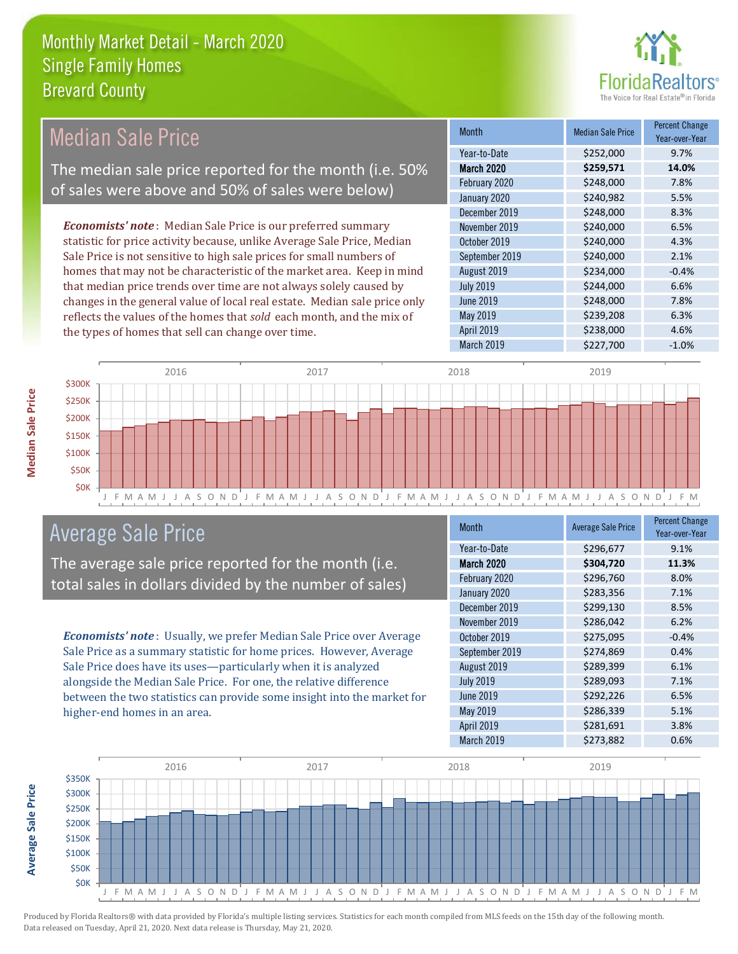

| <b>Median Sale Price</b>                                                  | <b>Month</b>      | <b>Median Sale Price</b> | <b>Percent Change</b><br>Year-over-Year |
|---------------------------------------------------------------------------|-------------------|--------------------------|-----------------------------------------|
|                                                                           | Year-to-Date      | \$252,000                | 9.7%                                    |
| The median sale price reported for the month (i.e. 50%                    | <b>March 2020</b> | \$259,571                | 14.0%                                   |
| of sales were above and 50% of sales were below)                          | February 2020     | \$248,000                | 7.8%                                    |
|                                                                           | January 2020      | \$240,982                | 5.5%                                    |
|                                                                           | December 2019     | \$248,000                | 8.3%                                    |
| <b>Economists' note</b> : Median Sale Price is our preferred summary      | November 2019     | \$240,000                | 6.5%                                    |
| statistic for price activity because, unlike Average Sale Price, Median   | October 2019      | \$240,000                | 4.3%                                    |
| Sale Price is not sensitive to high sale prices for small numbers of      | September 2019    | \$240,000                | 2.1%                                    |
| homes that may not be characteristic of the market area. Keep in mind     | August 2019       | \$234,000                | $-0.4%$                                 |
| that median price trends over time are not always solely caused by        | <b>July 2019</b>  | \$244,000                | 6.6%                                    |
| changes in the general value of local real estate. Median sale price only | June 2019         | \$248,000                | 7.8%                                    |
| reflects the values of the homes that sold each month, and the mix of     | May 2019          | \$239,208                | 6.3%                                    |
| the types of homes that sell can change over time.                        | <b>April 2019</b> | \$238,000                | 4.6%                                    |
|                                                                           | March 2019        | \$227,700                | $-1.0%$                                 |
| 2016<br>2017<br>$$300K$ $-$                                               | 2018              | 2019                     |                                         |



### Average Sale Price

The average sale price reported for the month (i.e. total sales in dollars divided by the number of sales)

*Economists' note* : Usually, we prefer Median Sale Price over Average Sale Price as a summary statistic for home prices. However, Average Sale Price does have its uses—particularly when it is analyzed alongside the Median Sale Price. For one, the relative difference between the two statistics can provide some insight into the market for higher-end homes in an area.

| <b>Month</b>      | <b>Average Sale Price</b> | <b>Percent Change</b><br>Year-over-Year |
|-------------------|---------------------------|-----------------------------------------|
| Year-to-Date      | \$296,677                 | 9.1%                                    |
| <b>March 2020</b> | \$304,720                 | 11.3%                                   |
| February 2020     | \$296,760                 | 8.0%                                    |
| January 2020      | \$283,356                 | 7.1%                                    |
| December 2019     | \$299,130                 | 8.5%                                    |
| November 2019     | \$286,042                 | 6.2%                                    |
| October 2019      | \$275,095                 | $-0.4%$                                 |
| September 2019    | \$274,869                 | 0.4%                                    |
| August 2019       | \$289,399                 | 6.1%                                    |
| <b>July 2019</b>  | \$289,093                 | 7.1%                                    |
| <b>June 2019</b>  | \$292,226                 | 6.5%                                    |
| May 2019          | \$286,339                 | 5.1%                                    |
| April 2019        | \$281,691                 | 3.8%                                    |
| March 2019        | \$273,882                 | 0.6%                                    |

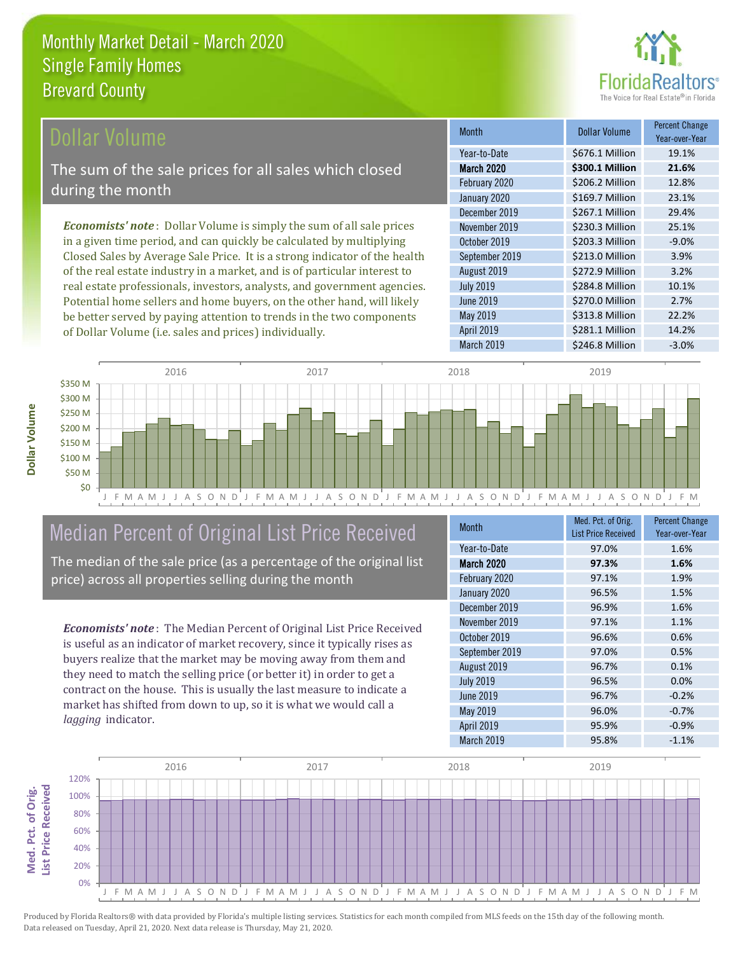

### **Ollar Volume**

The sum of the sale prices for all sales which closed during the month

*Economists' note* : Dollar Volume is simply the sum of all sale prices in a given time period, and can quickly be calculated by multiplying Closed Sales by Average Sale Price. It is a strong indicator of the health of the real estate industry in a market, and is of particular interest to real estate professionals, investors, analysts, and government agencies. Potential home sellers and home buyers, on the other hand, will likely be better served by paying attention to trends in the two components of Dollar Volume (i.e. sales and prices) individually.

| <b>Month</b>      | Dollar Volume   | <b>Percent Change</b><br>Year-over-Year |
|-------------------|-----------------|-----------------------------------------|
| Year-to-Date      | \$676.1 Million | 19.1%                                   |
| <b>March 2020</b> | \$300.1 Million | 21.6%                                   |
| February 2020     | \$206.2 Million | 12.8%                                   |
| January 2020      | \$169.7 Million | 23.1%                                   |
| December 2019     | \$267.1 Million | 29.4%                                   |
| November 2019     | \$230.3 Million | 25.1%                                   |
| October 2019      | \$203.3 Million | $-9.0%$                                 |
| September 2019    | \$213.0 Million | 3.9%                                    |
| August 2019       | \$272.9 Million | 3.2%                                    |
| <b>July 2019</b>  | \$284.8 Million | 10.1%                                   |
| <b>June 2019</b>  | \$270.0 Million | 2.7%                                    |
| May 2019          | \$313.8 Million | 22.2%                                   |
| April 2019        | \$281.1 Million | 14.2%                                   |
| March 2019        | \$246.8 Million | $-3.0%$                                 |



# Median Percent of Original List Price Received

The median of the sale price (as a percentage of the original list price) across all properties selling during the month

*Economists' note* : The Median Percent of Original List Price Received is useful as an indicator of market recovery, since it typically rises as buyers realize that the market may be moving away from them and they need to match the selling price (or better it) in order to get a contract on the house. This is usually the last measure to indicate a market has shifted from down to up, so it is what we would call a *lagging* indicator.

| <b>Month</b>      | Med. Pct. of Orig.<br><b>List Price Received</b> | <b>Percent Change</b><br>Year-over-Year |
|-------------------|--------------------------------------------------|-----------------------------------------|
| Year-to-Date      | 97.0%                                            | 1.6%                                    |
| <b>March 2020</b> | 97.3%                                            | 1.6%                                    |
| February 2020     | 97.1%                                            | 1.9%                                    |
| January 2020      | 96.5%                                            | 1.5%                                    |
| December 2019     | 96.9%                                            | 1.6%                                    |
| November 2019     | 97.1%                                            | 1.1%                                    |
| October 2019      | 96.6%                                            | 0.6%                                    |
| September 2019    | 97.0%                                            | 0.5%                                    |
| August 2019       | 96.7%                                            | 0.1%                                    |
| <b>July 2019</b>  | 96.5%                                            | 0.0%                                    |
| <b>June 2019</b>  | 96.7%                                            | $-0.2%$                                 |
| May 2019          | 96.0%                                            | $-0.7%$                                 |
| <b>April 2019</b> | 95.9%                                            | $-0.9%$                                 |
| March 2019        | 95.8%                                            | $-1.1%$                                 |

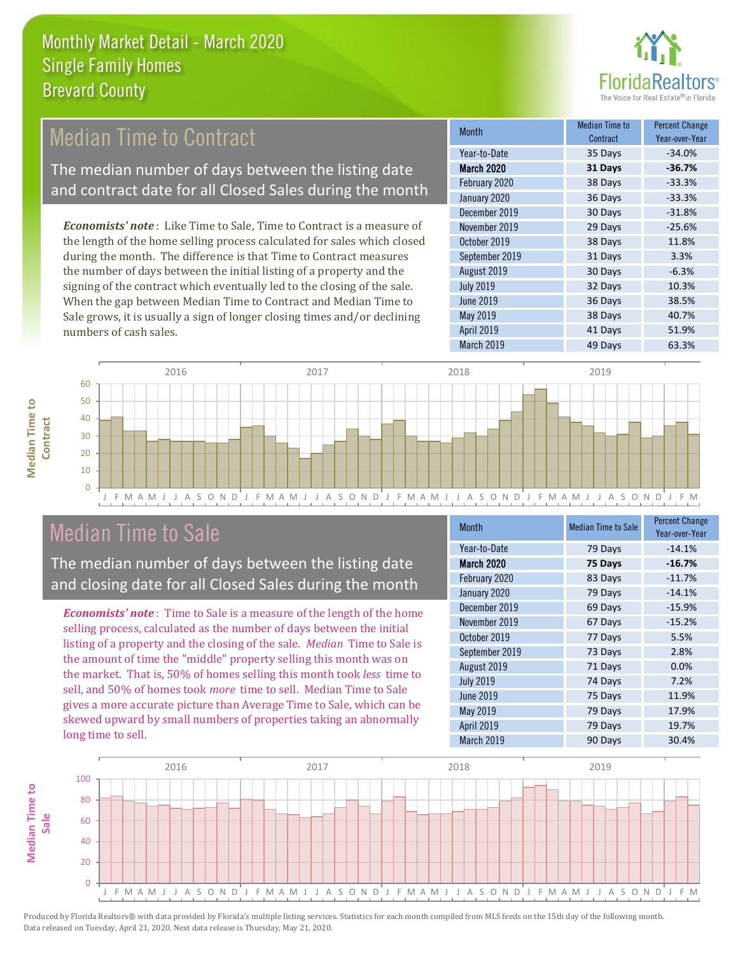

## Median Time to Contract

The median number of days between the listing date and contract date for all Closed Sales during the month

*Economists' note* : Like Time to Sale, Time to Contract is a measure of the length of the home selling process calculated for sales which closed during the month. The difference is that Time to Contract measures the number of days between the initial listing of a property and the signing of the contract which eventually led to the closing of the sale. When the gap between Median Time to Contract and Median Time to Sale grows, it is usually a sign of longer closing times and/or declining numbers of cash sales.

| <b>Month</b>     | Median Time to<br>Contract | <b>Percent Change</b><br>Year-over-Year |
|------------------|----------------------------|-----------------------------------------|
| Year-to-Date     | 35 Days                    | $-34.0%$                                |
| March 2020       | 31 Days                    | $-36.7%$                                |
| February 2020    | 38 Days                    | $-33.3%$                                |
| January 2020     | 36 Days                    | $-33.3%$                                |
| December 2019    | 30 Days                    | $-31.8%$                                |
| November 2019    | 29 Days                    | $-25.6%$                                |
| October 2019     | 38 Days                    | 11.8%                                   |
| September 2019   | 31 Days                    | 3.3%                                    |
| August 2019      | 30 Days                    | $-6.3%$                                 |
| <b>July 2019</b> | 32 Days                    | 10.3%                                   |
| <b>June 2019</b> | 36 Days                    | 38.5%                                   |
| <b>May 2019</b>  | 38 Days                    | 40.7%                                   |
| April 2019       | 41 Days                    | 51.9%                                   |
| March 2019       | 49 Days                    | 63.3%                                   |





## Median Time to Sale

The median number of days between the listing date and closing date for all Closed Sales during the month

*Economists' note* : Time to Sale is a measure of the length of the home selling process, calculated as the number of days between the initial listing of a property and the closing of the sale. *Median* Time to Sale is the amount of time the "middle" property selling this month was on the market. That is, 50% of homes selling this month took *less* time to sell, and 50% of homes took *more* time to sell. Median Time to Sale gives a more accurate picture than Average Time to Sale, which can be skewed upward by small numbers of properties taking an abnormally long time to sell.

| <b>Month</b>      | <b>Median Time to Sale</b> | <b>Percent Change</b><br>Year-over-Year |
|-------------------|----------------------------|-----------------------------------------|
| Year-to-Date      | 79 Days                    | $-14.1%$                                |
| <b>March 2020</b> | 75 Days                    | $-16.7%$                                |
| February 2020     | 83 Days                    | $-11.7%$                                |
| January 2020      | 79 Days                    | $-14.1%$                                |
| December 2019     | 69 Days                    | $-15.9%$                                |
| November 2019     | 67 Days                    | $-15.2%$                                |
| October 2019      | 77 Days                    | 5.5%                                    |
| September 2019    | 73 Days                    | 2.8%                                    |
| August 2019       | 71 Days                    | 0.0%                                    |
| <b>July 2019</b>  | 74 Days                    | 7.2%                                    |
| <b>June 2019</b>  | 75 Days                    | 11.9%                                   |
| <b>May 2019</b>   | 79 Days                    | 17.9%                                   |
| <b>April 2019</b> | 79 Days                    | 19.7%                                   |
| March 2019        | 90 Days                    | 30.4%                                   |

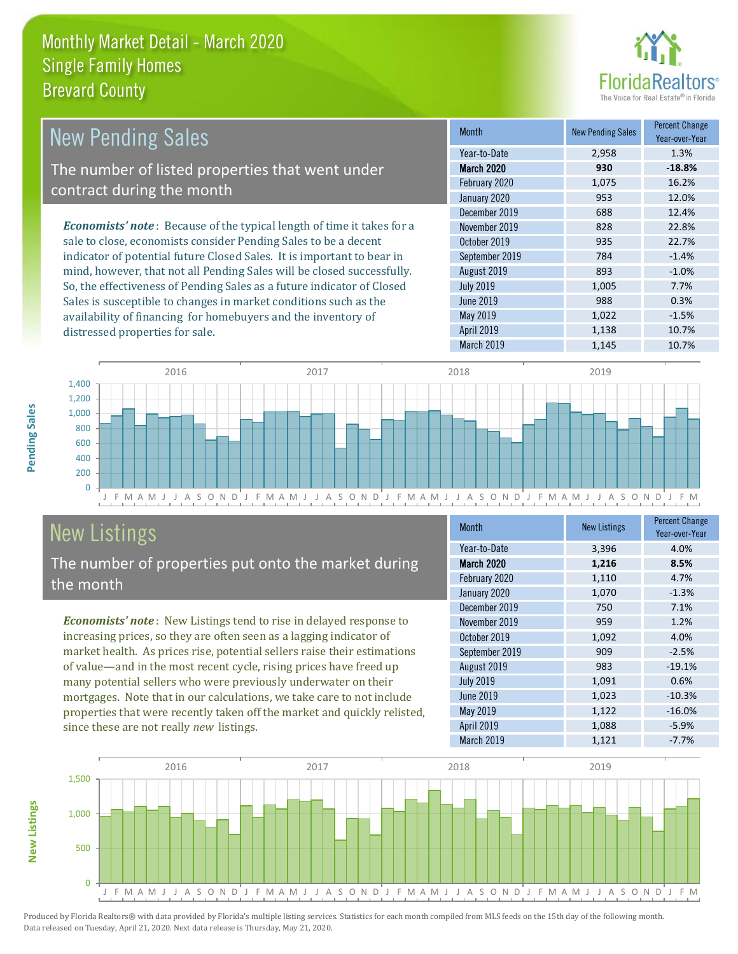distressed properties for sale.



| New Pending Sales                                                             | <b>Month</b>     | <b>New Pending Sales</b> | <b>Percent Change</b><br>Year-over-Year |
|-------------------------------------------------------------------------------|------------------|--------------------------|-----------------------------------------|
|                                                                               | Year-to-Date     | 2,958                    | 1.3%                                    |
| The number of listed properties that went under                               | March 2020       | 930                      | $-18.8%$                                |
| contract during the month                                                     | February 2020    | 1,075                    | 16.2%                                   |
|                                                                               | January 2020     | 953                      | 12.0%                                   |
|                                                                               | December 2019    | 688                      | 12.4%                                   |
| <b>Economists' note:</b> Because of the typical length of time it takes for a | November 2019    | 828                      | 22.8%                                   |
| sale to close, economists consider Pending Sales to be a decent               | October 2019     | 935                      | 22.7%                                   |
| indicator of potential future Closed Sales. It is important to bear in        | September 2019   | 784                      | $-1.4%$                                 |
| mind, however, that not all Pending Sales will be closed successfully.        | August 2019      | 893                      | $-1.0\%$                                |
| So, the effectiveness of Pending Sales as a future indicator of Closed        | <b>July 2019</b> | 1,005                    | 7.7%                                    |
| Sales is susceptible to changes in market conditions such as the              | June 2019        | 988                      | 0.3%                                    |



# New Listings The number of properties put onto the market during

availability of financing for homebuyers and the inventory of

since these are not really *new* listings.

*Economists' note* : New Listings tend to rise in delayed response to increasing prices, so they are often seen as a lagging indicator of market health. As prices rise, potential sellers raise their estimations of value—and in the most recent cycle, rising prices have freed up many potential sellers who were previously underwater on their mortgages. Note that in our calculations, we take care to not include properties that were recently taken off the market and quickly relisted,

| <b>Month</b>      | <b>New Listings</b> | <b>Percent Change</b><br>Year-over-Year |
|-------------------|---------------------|-----------------------------------------|
| Year-to-Date      | 3,396               | 4.0%                                    |
| March 2020        | 1,216               | 8.5%                                    |
| February 2020     | 1,110               | 4.7%                                    |
| January 2020      | 1,070               | $-1.3%$                                 |
| December 2019     | 750                 | 7.1%                                    |
| November 2019     | 959                 | 1.2%                                    |
| October 2019      | 1,092               | 4.0%                                    |
| September 2019    | 909                 | $-2.5%$                                 |
| August 2019       | 983                 | $-19.1%$                                |
| <b>July 2019</b>  | 1,091               | 0.6%                                    |
| <b>June 2019</b>  | 1,023               | $-10.3%$                                |
| May 2019          | 1,122               | $-16.0%$                                |
| <b>April 2019</b> | 1,088               | $-5.9%$                                 |
| March 2019        | 1,121               | $-7.7%$                                 |

May 2019 1,022 -1.5% April 2019 1,138 10.7% March 2019 1,145 10.7%



Pending Sales **Pending Sales**

the month

**New Listings**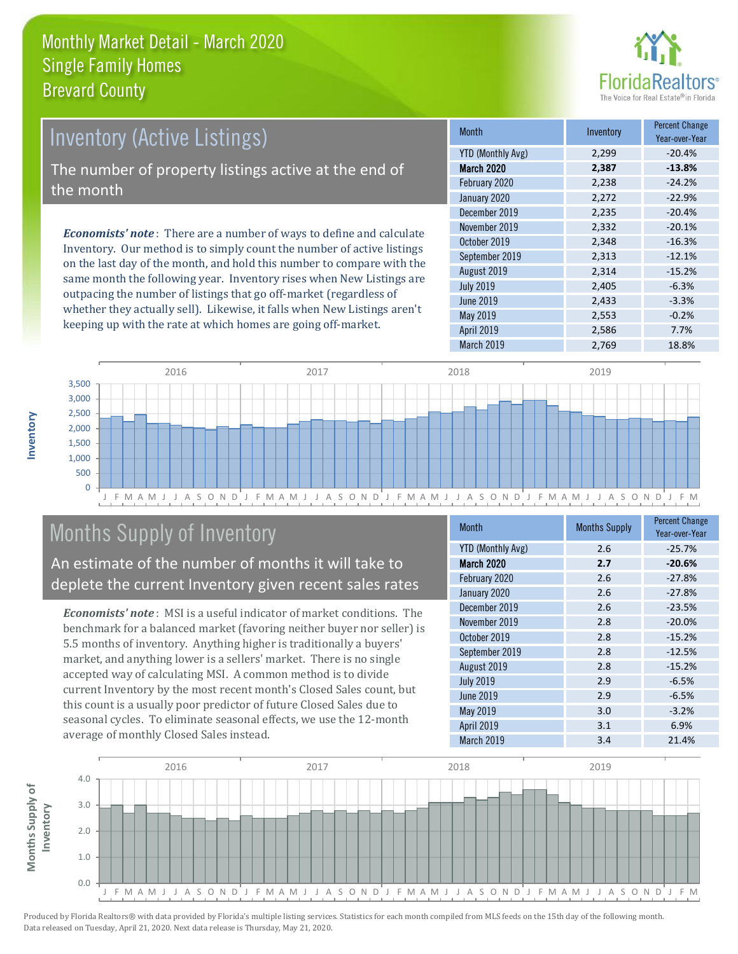

# *Economists' note* : There are a number of ways to define and calculate Inventory (Active Listings) The number of property listings active at the end of the month

Inventory. Our method is to simply count the number of active listings on the last day of the month, and hold this number to compare with the same month the following year. Inventory rises when New Listings are outpacing the number of listings that go off-market (regardless of whether they actually sell). Likewise, it falls when New Listings aren't keeping up with the rate at which homes are going off-market.

| <b>Month</b>             | Inventory | <b>Percent Change</b><br>Year-over-Year |
|--------------------------|-----------|-----------------------------------------|
| <b>YTD (Monthly Avg)</b> | 2,299     | $-20.4%$                                |
| <b>March 2020</b>        | 2,387     | $-13.8%$                                |
| February 2020            | 2,238     | $-24.2%$                                |
| January 2020             | 2,272     | $-22.9%$                                |
| December 2019            | 2,235     | $-20.4%$                                |
| November 2019            | 2,332     | $-20.1%$                                |
| October 2019             | 2,348     | $-16.3%$                                |
| September 2019           | 2,313     | $-12.1%$                                |
| August 2019              | 2,314     | $-15.2%$                                |
| <b>July 2019</b>         | 2,405     | $-6.3%$                                 |
| June 2019                | 2,433     | $-3.3%$                                 |
| May 2019                 | 2,553     | $-0.2%$                                 |
| April 2019               | 2,586     | 7.7%                                    |
| March 2019               | 2,769     | 18.8%                                   |



# Months Supply of Inventory

An estimate of the number of months it will take to deplete the current Inventory given recent sales rates

*Economists' note* : MSI is a useful indicator of market conditions. The benchmark for a balanced market (favoring neither buyer nor seller) is 5.5 months of inventory. Anything higher is traditionally a buyers' market, and anything lower is a sellers' market. There is no single accepted way of calculating MSI. A common method is to divide current Inventory by the most recent month's Closed Sales count, but this count is a usually poor predictor of future Closed Sales due to seasonal cycles. To eliminate seasonal effects, we use the 12-month average of monthly Closed Sales instead.

| <b>Month</b>             | <b>Months Supply</b> | <b>Percent Change</b><br>Year-over-Year |
|--------------------------|----------------------|-----------------------------------------|
| <b>YTD (Monthly Avg)</b> | 2.6                  | $-25.7%$                                |
| <b>March 2020</b>        | 2.7                  | $-20.6%$                                |
| February 2020            | 2.6                  | $-27.8%$                                |
| January 2020             | 2.6                  | $-27.8%$                                |
| December 2019            | 2.6                  | $-23.5%$                                |
| November 2019            | 2.8                  | $-20.0%$                                |
| October 2019             | 2.8                  | $-15.2%$                                |
| September 2019           | 2.8                  | $-12.5%$                                |
| August 2019              | 2.8                  | $-15.2%$                                |
| <b>July 2019</b>         | 2.9                  | $-6.5%$                                 |
| June 2019                | 2.9                  | $-6.5%$                                 |
| May 2019                 | 3.0                  | $-3.2%$                                 |
| April 2019               | 3.1                  | 6.9%                                    |
| March 2019               | 3.4                  | 21.4%                                   |

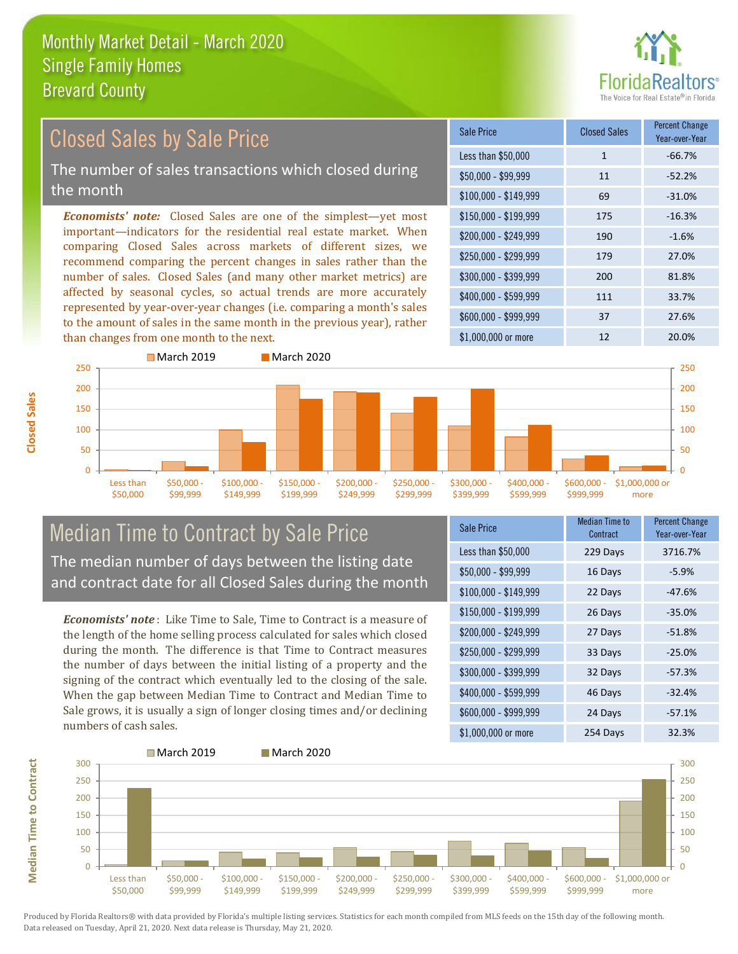

#### *Economists' note:* Closed Sales are one of the simplest—yet most important—indicators for the residential real estate market. When comparing Closed Sales across markets of different sizes, we recommend comparing the percent changes in sales rather than the number of sales. Closed Sales (and many other market metrics) are affected by seasonal cycles, so actual trends are more accurately represented by year-over-year changes (i.e. comparing a month's sales to the amount of sales in the same month in the previous year), rather than changes from one month to the next. \$1,000,000 or more 12 12 20.0% \$250,000 - \$299,999 179 27.0% \$300,000 - \$399,999 200 81.8% \$400,000 - \$599,999 111 33.7% \$600,000 - \$999,999 37 27.6% \$150,000 - \$199,999 175 -16.3% \$200,000 - \$249,999 190 -1.6% \$100,000 - \$149,999 69 -31.0% Sale Price Closed Sales Percent Change Year-over-Year Less than \$50,000 1 1 -66.7%  $$50.000 - $99.999$  11  $$52.2\%$ March 2019 March 2020 Closed Sales by Sale Price The number of sales transactions which closed during the month



### Median Time to Contract by Sale Price The median number of days between the listing date and contract date for all Closed Sales during the month

*Economists' note* : Like Time to Sale, Time to Contract is a measure of the length of the home selling process calculated for sales which closed during the month. The difference is that Time to Contract measures the number of days between the initial listing of a property and the signing of the contract which eventually led to the closing of the sale. When the gap between Median Time to Contract and Median Time to Sale grows, it is usually a sign of longer closing times and/or declining numbers of cash sales.

| Sale Price            | <b>Median Time to</b><br>Contract | <b>Percent Change</b><br>Year-over-Year |
|-----------------------|-----------------------------------|-----------------------------------------|
| Less than \$50,000    | 229 Days                          | 3716.7%                                 |
| $$50,000 - $99,999$   | 16 Days                           | $-5.9%$                                 |
| $$100,000 - $149,999$ | 22 Days                           | $-47.6%$                                |
| $$150,000 - $199,999$ | 26 Days                           | $-35.0%$                                |
| \$200,000 - \$249,999 | 27 Days                           | $-51.8%$                                |
| \$250,000 - \$299,999 | 33 Days                           | $-25.0%$                                |
| \$300,000 - \$399,999 | 32 Days                           | $-57.3%$                                |
| \$400,000 - \$599,999 | 46 Days                           | $-32.4%$                                |
| \$600,000 - \$999,999 | 24 Days                           | $-57.1%$                                |
| \$1,000,000 or more   | 254 Days                          | 32.3%                                   |



Produced by Florida Realtors® with data provided by Florida's multiple listing services. Statistics for each month compiled from MLS feeds on the 15th day of the following month. Data released on Tuesday, April 21, 2020. Next data release is Thursday, May 21, 2020.

**Median Time to Contract**

**Median Time to Contract**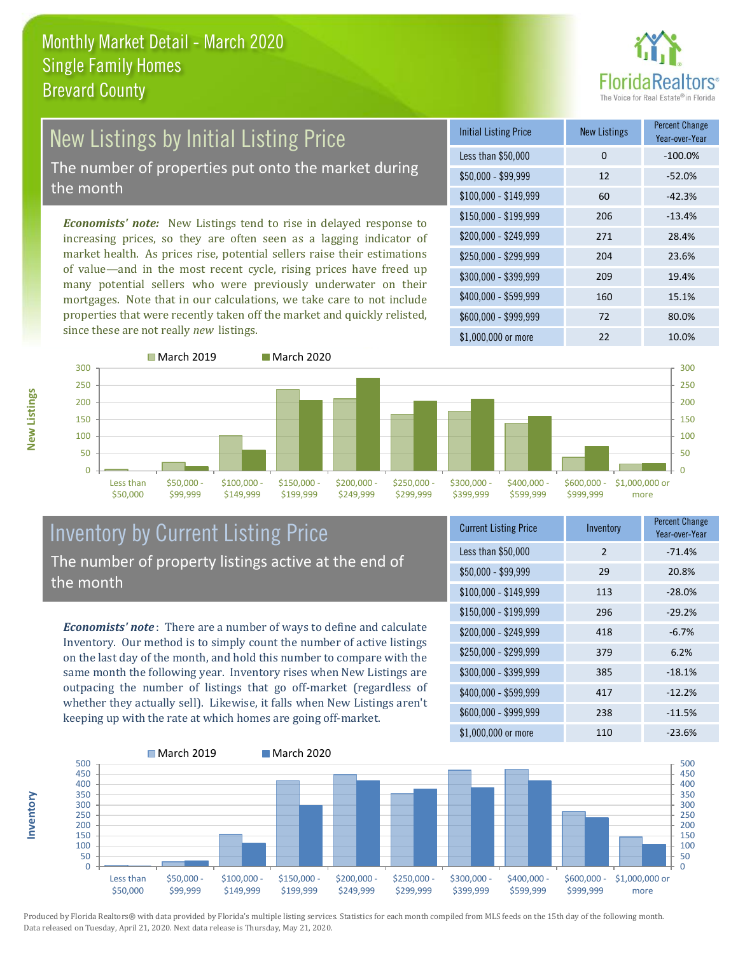

## New Listings by Initial Listing Price The number of properties put onto the market during

the month

*Economists' note:* New Listings tend to rise in delayed response to increasing prices, so they are often seen as a lagging indicator of market health. As prices rise, potential sellers raise their estimations of value—and in the most recent cycle, rising prices have freed up many potential sellers who were previously underwater on their mortgages. Note that in our calculations, we take care to not include properties that were recently taken off the market and quickly relisted, since these are not really *new* listings.

| <b>Initial Listing Price</b> | <b>New Listings</b> | <b>Percent Change</b><br>Year-over-Year |
|------------------------------|---------------------|-----------------------------------------|
| Less than \$50,000           | 0                   | $-100.0%$                               |
| $$50,000 - $99,999$          | 12                  | $-52.0%$                                |
| $$100,000 - $149,999$        | 60                  | $-42.3%$                                |
| $$150,000 - $199,999$        | 206                 | $-13.4%$                                |
| \$200,000 - \$249,999        | 271                 | 28.4%                                   |
| $$250,000 - $299,999$        | 204                 | 23.6%                                   |
| \$300,000 - \$399,999        | 209                 | 19.4%                                   |
| \$400,000 - \$599,999        | 160                 | 15.1%                                   |
| \$600,000 - \$999,999        | 72                  | 80.0%                                   |
| $$1,000,000$ or more         | 22                  | 10.0%                                   |



#### Inventory by Current Listing Price The number of property listings active at the end of the month

*Economists' note* : There are a number of ways to define and calculate Inventory. Our method is to simply count the number of active listings on the last day of the month, and hold this number to compare with the same month the following year. Inventory rises when New Listings are outpacing the number of listings that go off-market (regardless of whether they actually sell). Likewise, it falls when New Listings aren't keeping up with the rate at which homes are going off-market.

| <b>Current Listing Price</b> | Inventory     | <b>Percent Change</b><br>Year-over-Year |
|------------------------------|---------------|-----------------------------------------|
| Less than \$50,000           | $\mathcal{P}$ | $-71.4%$                                |
| \$50,000 - \$99,999          | 29            | 20.8%                                   |
| $$100,000 - $149,999$        | 113           | $-28.0%$                                |
| $$150,000 - $199,999$        | 296           | $-29.2%$                                |
| \$200,000 - \$249,999        | 418           | $-6.7%$                                 |
| \$250,000 - \$299,999        | 379           | 6.2%                                    |
| \$300,000 - \$399,999        | 385           | $-18.1%$                                |
| \$400,000 - \$599,999        | 417           | $-12.2%$                                |
| \$600,000 - \$999,999        | 238           | $-11.5%$                                |
| \$1,000,000 or more          | 110           | $-23.6%$                                |



Produced by Florida Realtors® with data provided by Florida's multiple listing services. Statistics for each month compiled from MLS feeds on the 15th day of the following month. Data released on Tuesday, April 21, 2020. Next data release is Thursday, May 21, 2020.

**Inventory**